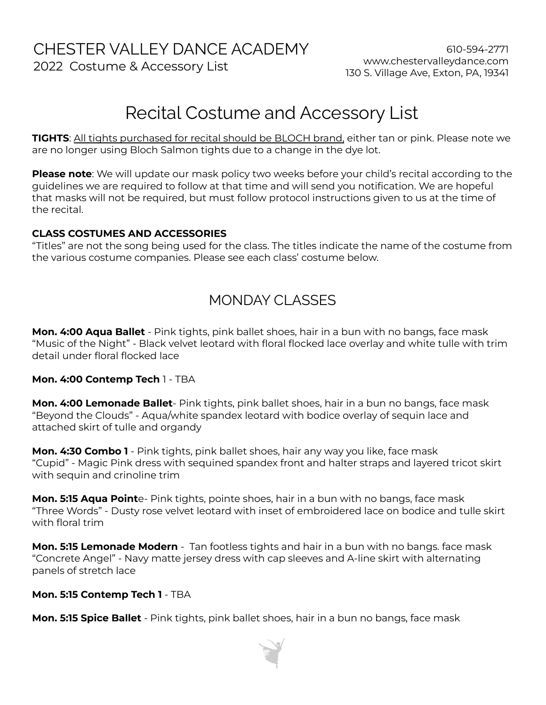# CHESTER VALLEY DANCE ACADEMY

2022 Costume & Accessory List

# Recital Costume and Accessory List

**TIGHTS**: All tights purchased for recital should be BLOCH brand, either tan or pink. Please note we are no longer using Bloch Salmon tights due to a change in the dye lot.

**Please note**: We will update our mask policy two weeks before your child's recital according to the guidelines we are required to follow at that time and will send you notification. We are hopeful that masks will not be required, but must follow protocol instructions given to us at the time of the recital.

#### **CLASS COSTUMES AND ACCESSORIES**

"Titles" are not the song being used for the class. The titles indicate the name of the costume from the various costume companies. Please see each class' costume below.

## MONDAY CLASSES

**Mon. 4:00 Aqua Ballet** - Pink tights, pink ballet shoes, hair in a bun with no bangs, face mask "Music of the Night" - Black velvet leotard with floral flocked lace overlay and white tulle with trim detail under floral flocked lace

#### **Mon. 4:00 Contemp Tech** 1 - TBA

**Mon. 4:00 Lemonade Ballet**- Pink tights, pink ballet shoes, hair in a bun no bangs, face mask "Beyond the Clouds" - Aqua/white spandex leotard with bodice overlay of sequin lace and attached skirt of tulle and organdy

**Mon. 4:30 Combo 1** - Pink tights, pink ballet shoes, hair any way you like, face mask "Cupid" - Magic Pink dress with sequined spandex front and halter straps and layered tricot skirt with sequin and crinoline trim

**Mon. 5:15 Aqua Point**e- Pink tights, pointe shoes, hair in a bun with no bangs, face mask "Three Words" - Dusty rose velvet leotard with inset of embroidered lace on bodice and tulle skirt with floral trim

**Mon. 5:15 Lemonade Modern** - Tan footless tights and hair in a bun with no bangs. face mask "Concrete Angel" - Navy matte jersey dress with cap sleeves and A-line skirt with alternating panels of stretch lace

#### **Mon. 5:15 Contemp Tech 1** - TBA

**Mon. 5:15 Spice Ballet** - Pink tights, pink ballet shoes, hair in a bun no bangs, face mask

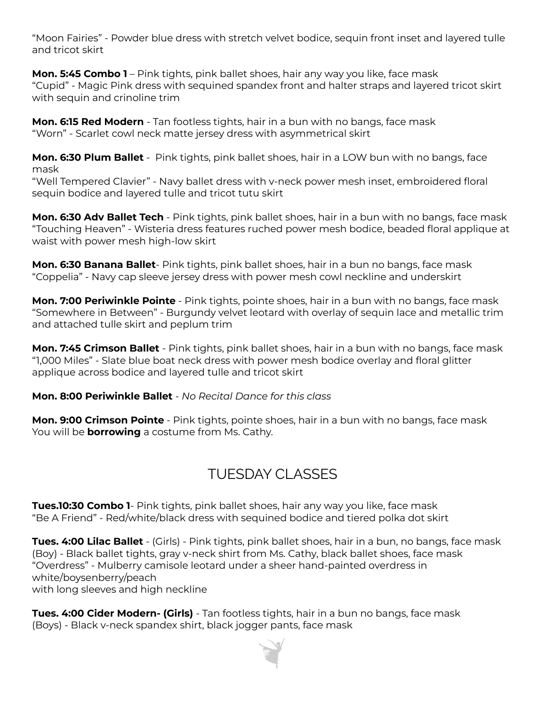"Moon Fairies" - Powder blue dress with stretch velvet bodice, sequin front inset and layered tulle and tricot skirt

**Mon. 5:45 Combo 1** – Pink tights, pink ballet shoes, hair any way you like, face mask "Cupid" - Magic Pink dress with sequined spandex front and halter straps and layered tricot skirt with sequin and crinoline trim

**Mon. 6:15 Red Modern** - Tan footless tights, hair in a bun with no bangs, face mask "Worn" - Scarlet cowl neck matte jersey dress with asymmetrical skirt

**Mon. 6:30 Plum Ballet** - Pink tights, pink ballet shoes, hair in a LOW bun with no bangs, face mask

"Well Tempered Clavier" - Navy ballet dress with v-neck power mesh inset, embroidered floral sequin bodice and layered tulle and tricot tutu skirt

**Mon. 6:30 Adv Ballet Tech** - Pink tights, pink ballet shoes, hair in a bun with no bangs, face mask "Touching Heaven" - Wisteria dress features ruched power mesh bodice, beaded floral applique at waist with power mesh high-low skirt

**Mon. 6:30 Banana Ballet**- Pink tights, pink ballet shoes, hair in a bun no bangs, face mask "Coppelia" - Navy cap sleeve jersey dress with power mesh cowl neckline and underskirt

**Mon. 7:00 Periwinkle Pointe** - Pink tights, pointe shoes, hair in a bun with no bangs, face mask "Somewhere in Between" - Burgundy velvet leotard with overlay of sequin lace and metallic trim and attached tulle skirt and peplum trim

**Mon. 7:45 Crimson Ballet** - Pink tights, pink ballet shoes, hair in a bun with no bangs, face mask "1,000 Miles" - Slate blue boat neck dress with power mesh bodice overlay and floral glitter applique across bodice and layered tulle and tricot skirt

#### **Mon. 8:00 Periwinkle Ballet** - *No Recital Dance for this class*

**Mon. 9:00 Crimson Pointe** - Pink tights, pointe shoes, hair in a bun with no bangs, face mask You will be **borrowing** a costume from Ms. Cathy.

### TUESDAY CLASSES

**Tues.10:30 Combo 1**- Pink tights, pink ballet shoes, hair any way you like, face mask "Be A Friend" - Red/white/black dress with sequined bodice and tiered polka dot skirt

**Tues. 4:00 Lilac Ballet** - (Girls) - Pink tights, pink ballet shoes, hair in a bun, no bangs, face mask (Boy) - Black ballet tights, gray v-neck shirt from Ms. Cathy, black ballet shoes, face mask "Overdress" - Mulberry camisole leotard under a sheer hand-painted overdress in white/boysenberry/peach

with long sleeves and high neckline

**Tues. 4:00 Cider Modern- (Girls)** - Tan footless tights, hair in a bun no bangs, face mask (Boys) - Black v-neck spandex shirt, black jogger pants, face mask

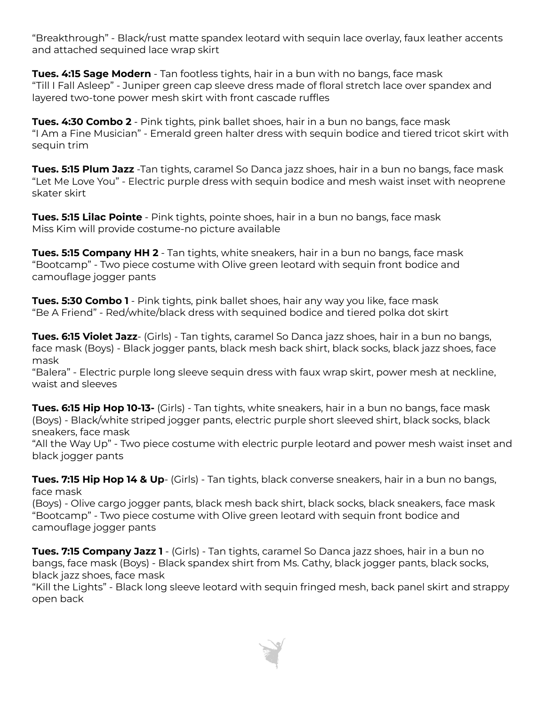"Breakthrough" - Black/rust matte spandex leotard with sequin lace overlay, faux leather accents and attached sequined lace wrap skirt

**Tues. 4:15 Sage Modern** - Tan footless tights, hair in a bun with no bangs, face mask "Till I Fall Asleep" - Juniper green cap sleeve dress made of floral stretch lace over spandex and layered two-tone power mesh skirt with front cascade ruffles

**Tues. 4:30 Combo 2** - Pink tights, pink ballet shoes, hair in a bun no bangs, face mask "I Am a Fine Musician" - Emerald green halter dress with sequin bodice and tiered tricot skirt with sequin trim

**Tues. 5:15 Plum Jazz** -Tan tights, caramel So Danca jazz shoes, hair in a bun no bangs, face mask "Let Me Love You" - Electric purple dress with sequin bodice and mesh waist inset with neoprene skater skirt

**Tues. 5:15 Lilac Pointe** - Pink tights, pointe shoes, hair in a bun no bangs, face mask Miss Kim will provide costume-no picture available

**Tues. 5:15 Company HH 2** - Tan tights, white sneakers, hair in a bun no bangs, face mask "Bootcamp" - Two piece costume with Olive green leotard with sequin front bodice and camouflage jogger pants

**Tues. 5:30 Combo 1** - Pink tights, pink ballet shoes, hair any way you like, face mask "Be A Friend" - Red/white/black dress with sequined bodice and tiered polka dot skirt

**Tues. 6:15 Violet Jazz**- (Girls) - Tan tights, caramel So Danca jazz shoes, hair in a bun no bangs, face mask (Boys) - Black jogger pants, black mesh back shirt, black socks, black jazz shoes, face mask

"Balera" - Electric purple long sleeve sequin dress with faux wrap skirt, power mesh at neckline, waist and sleeves

**Tues. 6:15 Hip Hop 10-13-** (Girls) - Tan tights, white sneakers, hair in a bun no bangs, face mask (Boys) - Black/white striped jogger pants, electric purple short sleeved shirt, black socks, black sneakers, face mask

"All the Way Up" - Two piece costume with electric purple leotard and power mesh waist inset and black jogger pants

**Tues. 7:15 Hip Hop 14 & Up**- (Girls) - Tan tights, black converse sneakers, hair in a bun no bangs, face mask

(Boys) - Olive cargo jogger pants, black mesh back shirt, black socks, black sneakers, face mask "Bootcamp" - Two piece costume with Olive green leotard with sequin front bodice and camouflage jogger pants

**Tues. 7:15 Company Jazz 1** - (Girls) - Tan tights, caramel So Danca jazz shoes, hair in a bun no bangs, face mask (Boys) - Black spandex shirt from Ms. Cathy, black jogger pants, black socks, black jazz shoes, face mask

"Kill the Lights" - Black long sleeve leotard with sequin fringed mesh, back panel skirt and strappy open back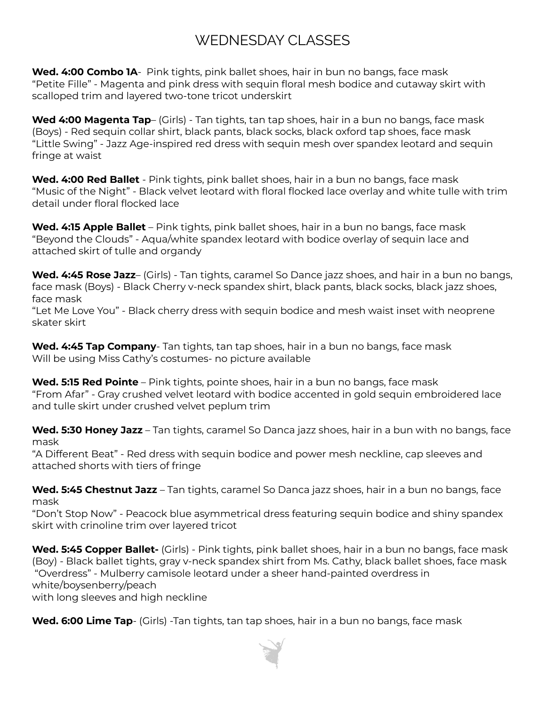# WEDNESDAY CLASSES

**Wed. 4:00 Combo 1A**- Pink tights, pink ballet shoes, hair in bun no bangs, face mask "Petite Fille" - Magenta and pink dress with sequin floral mesh bodice and cutaway skirt with scalloped trim and layered two-tone tricot underskirt

**Wed 4:00 Magenta Tap**– (Girls) - Tan tights, tan tap shoes, hair in a bun no bangs, face mask (Boys) - Red sequin collar shirt, black pants, black socks, black oxford tap shoes, face mask "Little Swing" - Jazz Age-inspired red dress with sequin mesh over spandex leotard and sequin fringe at waist

**Wed. 4:00 Red Ballet** - Pink tights, pink ballet shoes, hair in a bun no bangs, face mask "Music of the Night" - Black velvet leotard with floral flocked lace overlay and white tulle with trim detail under floral flocked lace

**Wed. 4:15 Apple Ballet** – Pink tights, pink ballet shoes, hair in a bun no bangs, face mask "Beyond the Clouds" - Aqua/white spandex leotard with bodice overlay of sequin lace and attached skirt of tulle and organdy

**Wed. 4:45 Rose Jazz**– (Girls) - Tan tights, caramel So Dance jazz shoes, and hair in a bun no bangs, face mask (Boys) - Black Cherry v-neck spandex shirt, black pants, black socks, black jazz shoes, face mask

"Let Me Love You" - Black cherry dress with sequin bodice and mesh waist inset with neoprene skater skirt

**Wed. 4:45 Tap Company**- Tan tights, tan tap shoes, hair in a bun no bangs, face mask Will be using Miss Cathy's costumes- no picture available

**Wed. 5:15 Red Pointe** – Pink tights, pointe shoes, hair in a bun no bangs, face mask "From Afar" - Gray crushed velvet leotard with bodice accented in gold sequin embroidered lace and tulle skirt under crushed velvet peplum trim

**Wed. 5:30 Honey Jazz** – Tan tights, caramel So Danca jazz shoes, hair in a bun with no bangs, face mask

"A Different Beat" - Red dress with sequin bodice and power mesh neckline, cap sleeves and attached shorts with tiers of fringe

**Wed. 5:45 Chestnut Jazz** – Tan tights, caramel So Danca jazz shoes, hair in a bun no bangs, face mask

"Don't Stop Now" - Peacock blue asymmetrical dress featuring sequin bodice and shiny spandex skirt with crinoline trim over layered tricot

**Wed. 5:45 Copper Ballet-** (Girls) - Pink tights, pink ballet shoes, hair in a bun no bangs, face mask (Boy) - Black ballet tights, gray v-neck spandex shirt from Ms. Cathy, black ballet shoes, face mask "Overdress" - Mulberry camisole leotard under a sheer hand-painted overdress in white/boysenberry/peach with long sleeves and high neckline

**Wed. 6:00 Lime Tap**- (Girls) -Tan tights, tan tap shoes, hair in a bun no bangs, face mask

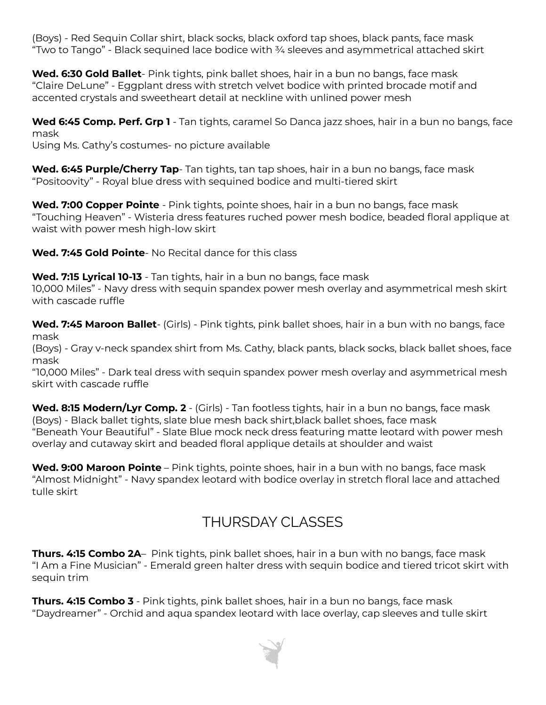(Boys) - Red Sequin Collar shirt, black socks, black oxford tap shoes, black pants, face mask "Two to Tango" - Black sequined lace bodice with  $\frac{3}{4}$  sleeves and asymmetrical attached skirt

**Wed. 6:30 Gold Ballet**- Pink tights, pink ballet shoes, hair in a bun no bangs, face mask "Claire DeLune" - Eggplant dress with stretch velvet bodice with printed brocade motif and accented crystals and sweetheart detail at neckline with unlined power mesh

**Wed 6:45 Comp. Perf. Grp 1** - Tan tights, caramel So Danca jazz shoes, hair in a bun no bangs, face mask

Using Ms. Cathy's costumes- no picture available

**Wed. 6:45 Purple/Cherry Tap**- Tan tights, tan tap shoes, hair in a bun no bangs, face mask "Positoovity" - Royal blue dress with sequined bodice and multi-tiered skirt

**Wed. 7:00 Copper Pointe** - Pink tights, pointe shoes, hair in a bun no bangs, face mask "Touching Heaven" - Wisteria dress features ruched power mesh bodice, beaded floral applique at waist with power mesh high-low skirt

**Wed. 7:45 Gold Pointe**- No Recital dance for this class

**Wed. 7:15 Lyrical 10-13** - Tan tights, hair in a bun no bangs, face mask

10,000 Miles" - Navy dress with sequin spandex power mesh overlay and asymmetrical mesh skirt with cascade ruffle

**Wed. 7:45 Maroon Ballet**- (Girls) - Pink tights, pink ballet shoes, hair in a bun with no bangs, face mask

(Boys) - Gray v-neck spandex shirt from Ms. Cathy, black pants, black socks, black ballet shoes, face mask

"10,000 Miles" - Dark teal dress with sequin spandex power mesh overlay and asymmetrical mesh skirt with cascade ruffle

**Wed. 8:15 Modern/Lyr Comp. 2** - (Girls) - Tan footless tights, hair in a bun no bangs, face mask (Boys) - Black ballet tights, slate blue mesh back shirt,black ballet shoes, face mask "Beneath Your Beautiful" - Slate Blue mock neck dress featuring matte leotard with power mesh overlay and cutaway skirt and beaded floral applique details at shoulder and waist

**Wed. 9:00 Maroon Pointe** – Pink tights, pointe shoes, hair in a bun with no bangs, face mask "Almost Midnight" - Navy spandex leotard with bodice overlay in stretch floral lace and attached tulle skirt

## THURSDAY CLASSES

**Thurs. 4:15 Combo 2A**– Pink tights, pink ballet shoes, hair in a bun with no bangs, face mask "I Am a Fine Musician" - Emerald green halter dress with sequin bodice and tiered tricot skirt with sequin trim

**Thurs. 4:15 Combo 3** - Pink tights, pink ballet shoes, hair in a bun no bangs, face mask "Daydreamer" - Orchid and aqua spandex leotard with lace overlay, cap sleeves and tulle skirt

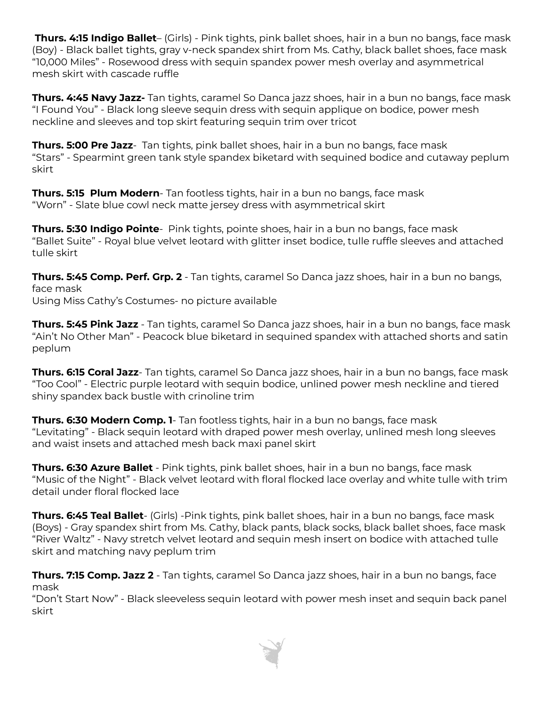**Thurs. 4:15 Indigo Ballet**– (Girls) - Pink tights, pink ballet shoes, hair in a bun no bangs, face mask (Boy) - Black ballet tights, gray v-neck spandex shirt from Ms. Cathy, black ballet shoes, face mask "10,000 Miles" - Rosewood dress with sequin spandex power mesh overlay and asymmetrical mesh skirt with cascade ruffle

**Thurs. 4:45 Navy Jazz-** Tan tights, caramel So Danca jazz shoes, hair in a bun no bangs, face mask "I Found You" - Black long sleeve sequin dress with sequin applique on bodice, power mesh neckline and sleeves and top skirt featuring sequin trim over tricot

**Thurs. 5:00 Pre Jazz**- Tan tights, pink ballet shoes, hair in a bun no bangs, face mask "Stars" - Spearmint green tank style spandex biketard with sequined bodice and cutaway peplum skirt

**Thurs. 5:15 Plum Modern**- Tan footless tights, hair in a bun no bangs, face mask "Worn" - Slate blue cowl neck matte jersey dress with asymmetrical skirt

**Thurs. 5:30 Indigo Pointe**- Pink tights, pointe shoes, hair in a bun no bangs, face mask "Ballet Suite" - Royal blue velvet leotard with glitter inset bodice, tulle ruffle sleeves and attached tulle skirt

**Thurs. 5:45 Comp. Perf. Grp. 2** - Tan tights, caramel So Danca jazz shoes, hair in a bun no bangs, face mask

Using Miss Cathy's Costumes- no picture available

**Thurs. 5:45 Pink Jazz** - Tan tights, caramel So Danca jazz shoes, hair in a bun no bangs, face mask "Ain't No Other Man" - Peacock blue biketard in sequined spandex with attached shorts and satin peplum

**Thurs. 6:15 Coral Jazz**- Tan tights, caramel So Danca jazz shoes, hair in a bun no bangs, face mask "Too Cool" - Electric purple leotard with sequin bodice, unlined power mesh neckline and tiered shiny spandex back bustle with crinoline trim

**Thurs. 6:30 Modern Comp. 1**- Tan footless tights, hair in a bun no bangs, face mask "Levitating" - Black sequin leotard with draped power mesh overlay, unlined mesh long sleeves and waist insets and attached mesh back maxi panel skirt

**Thurs. 6:30 Azure Ballet** - Pink tights, pink ballet shoes, hair in a bun no bangs, face mask "Music of the Night" - Black velvet leotard with floral flocked lace overlay and white tulle with trim detail under floral flocked lace

**Thurs. 6:45 Teal Ballet**- (Girls) -Pink tights, pink ballet shoes, hair in a bun no bangs, face mask (Boys) - Gray spandex shirt from Ms. Cathy, black pants, black socks, black ballet shoes, face mask "River Waltz" - Navy stretch velvet leotard and sequin mesh insert on bodice with attached tulle skirt and matching navy peplum trim

**Thurs. 7:15 Comp. Jazz 2** - Tan tights, caramel So Danca jazz shoes, hair in a bun no bangs, face mask

"Don't Start Now" - Black sleeveless sequin leotard with power mesh inset and sequin back panel skirt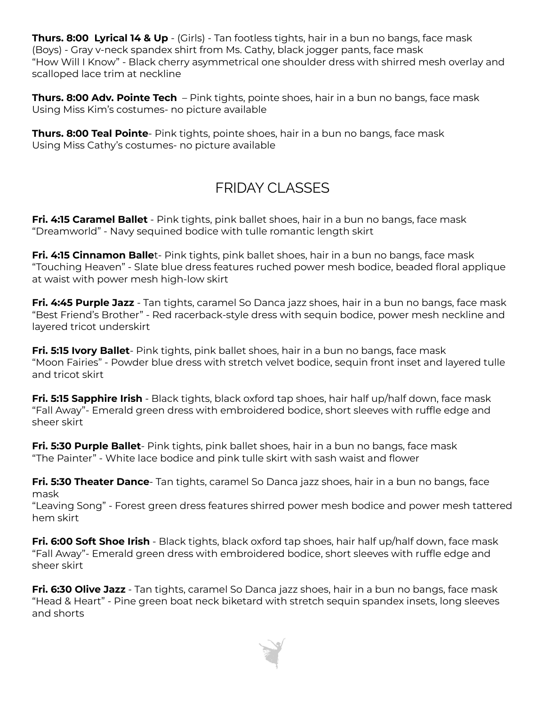**Thurs. 8:00 Lyrical 14 & Up** - (Girls) - Tan footless tights, hair in a bun no bangs, face mask (Boys) - Gray v-neck spandex shirt from Ms. Cathy, black jogger pants, face mask "How Will I Know" - Black cherry asymmetrical one shoulder dress with shirred mesh overlay and scalloped lace trim at neckline

**Thurs. 8:00 Adv. Pointe Tech** – Pink tights, pointe shoes, hair in a bun no bangs, face mask Using Miss Kim's costumes- no picture available

**Thurs. 8:00 Teal Pointe**- Pink tights, pointe shoes, hair in a bun no bangs, face mask Using Miss Cathy's costumes- no picture available

# FRIDAY CLASSES

**Fri. 4:15 Caramel Ballet** - Pink tights, pink ballet shoes, hair in a bun no bangs, face mask "Dreamworld" - Navy sequined bodice with tulle romantic length skirt

**Fri. 4:15 Cinnamon Balle**t- Pink tights, pink ballet shoes, hair in a bun no bangs, face mask "Touching Heaven" - Slate blue dress features ruched power mesh bodice, beaded floral applique at waist with power mesh high-low skirt

**Fri. 4:45 Purple Jazz** - Tan tights, caramel So Danca jazz shoes, hair in a bun no bangs, face mask "Best Friend's Brother" - Red racerback-style dress with sequin bodice, power mesh neckline and layered tricot underskirt

**Fri. 5:15 Ivory Ballet**- Pink tights, pink ballet shoes, hair in a bun no bangs, face mask "Moon Fairies" - Powder blue dress with stretch velvet bodice, sequin front inset and layered tulle and tricot skirt

**Fri. 5:15 Sapphire Irish** - Black tights, black oxford tap shoes, hair half up/half down, face mask "Fall Away"- Emerald green dress with embroidered bodice, short sleeves with ruffle edge and sheer skirt

**Fri. 5:30 Purple Ballet**- Pink tights, pink ballet shoes, hair in a bun no bangs, face mask "The Painter" - White lace bodice and pink tulle skirt with sash waist and flower

**Fri. 5:30 Theater Dance**- Tan tights, caramel So Danca jazz shoes, hair in a bun no bangs, face mask

"Leaving Song" - Forest green dress features shirred power mesh bodice and power mesh tattered hem skirt

**Fri. 6:00 Soft Shoe Irish** - Black tights, black oxford tap shoes, hair half up/half down, face mask "Fall Away"- Emerald green dress with embroidered bodice, short sleeves with ruffle edge and sheer skirt

**Fri. 6:30 Olive Jazz** - Tan tights, caramel So Danca jazz shoes, hair in a bun no bangs, face mask "Head & Heart" - Pine green boat neck biketard with stretch sequin spandex insets, long sleeves and shorts

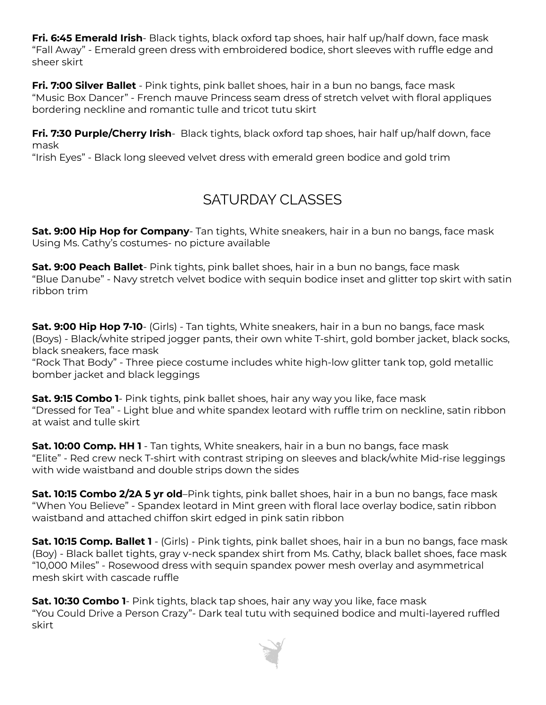**Fri. 6:45 Emerald Irish**- Black tights, black oxford tap shoes, hair half up/half down, face mask "Fall Away" - Emerald green dress with embroidered bodice, short sleeves with ruffle edge and sheer skirt

**Fri. 7:00 Silver Ballet** - Pink tights, pink ballet shoes, hair in a bun no bangs, face mask "Music Box Dancer" - French mauve Princess seam dress of stretch velvet with floral appliques bordering neckline and romantic tulle and tricot tutu skirt

**Fri. 7:30 Purple/Cherry Irish**- Black tights, black oxford tap shoes, hair half up/half down, face mask

"Irish Eyes" - Black long sleeved velvet dress with emerald green bodice and gold trim

## SATURDAY CLASSES

**Sat. 9:00 Hip Hop for Company**- Tan tights, White sneakers, hair in a bun no bangs, face mask Using Ms. Cathy's costumes- no picture available

**Sat. 9:00 Peach Ballet**- Pink tights, pink ballet shoes, hair in a bun no bangs, face mask "Blue Danube" - Navy stretch velvet bodice with sequin bodice inset and glitter top skirt with satin ribbon trim

**Sat. 9:00 Hip Hop 7-10**- (Girls) - Tan tights, White sneakers, hair in a bun no bangs, face mask (Boys) - Black/white striped jogger pants, their own white T-shirt, gold bomber jacket, black socks, black sneakers, face mask

"Rock That Body" - Three piece costume includes white high-low glitter tank top, gold metallic bomber jacket and black leggings

**Sat. 9:15 Combo 1**- Pink tights, pink ballet shoes, hair any way you like, face mask "Dressed for Tea" - Light blue and white spandex leotard with ruffle trim on neckline, satin ribbon at waist and tulle skirt

**Sat. 10:00 Comp. HH 1** - Tan tights, White sneakers, hair in a bun no bangs, face mask "Elite" - Red crew neck T-shirt with contrast striping on sleeves and black/white Mid-rise leggings with wide waistband and double strips down the sides

**Sat. 10:15 Combo 2/2A 5 yr old**–Pink tights, pink ballet shoes, hair in a bun no bangs, face mask "When You Believe" - Spandex leotard in Mint green with floral lace overlay bodice, satin ribbon waistband and attached chiffon skirt edged in pink satin ribbon

**Sat. 10:15 Comp. Ballet 1** - (Girls) - Pink tights, pink ballet shoes, hair in a bun no bangs, face mask (Boy) - Black ballet tights, gray v-neck spandex shirt from Ms. Cathy, black ballet shoes, face mask "10,000 Miles" - Rosewood dress with sequin spandex power mesh overlay and asymmetrical mesh skirt with cascade ruffle

**Sat. 10:30 Combo 1**- Pink tights, black tap shoes, hair any way you like, face mask "You Could Drive a Person Crazy"- Dark teal tutu with sequined bodice and multi-layered ruffled skirt